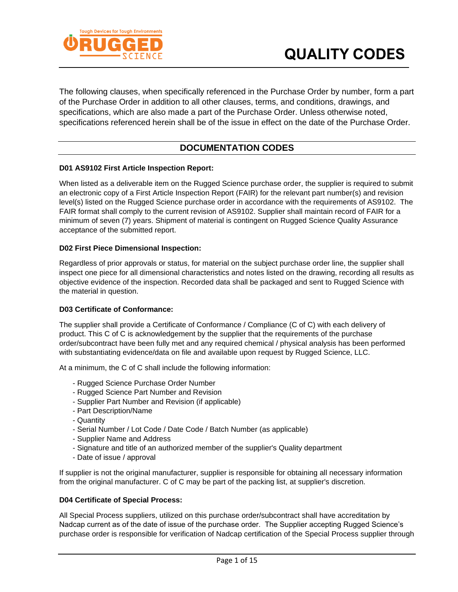

The following clauses, when specifically referenced in the Purchase Order by number, form a part of the Purchase Order in addition to all other clauses, terms, and conditions, drawings, and specifications, which are also made a part of the Purchase Order. Unless otherwise noted, specifications referenced herein shall be of the issue in effect on the date of the Purchase Order.

# **DOCUMENTATION CODES**

#### **D01 AS9102 First Article Inspection Report:**

When listed as a deliverable item on the Rugged Science purchase order, the supplier is required to submit an electronic copy of a First Article Inspection Report (FAIR) for the relevant part number(s) and revision level(s) listed on the Rugged Science purchase order in accordance with the requirements of AS9102. The FAIR format shall comply to the current revision of AS9102. Supplier shall maintain record of FAIR for a minimum of seven (7) years. Shipment of material is contingent on Rugged Science Quality Assurance acceptance of the submitted report.

#### **D02 First Piece Dimensional Inspection:**

Regardless of prior approvals or status, for material on the subject purchase order line, the supplier shall inspect one piece for all dimensional characteristics and notes listed on the drawing, recording all results as objective evidence of the inspection. Recorded data shall be packaged and sent to Rugged Science with the material in question.

#### **D03 Certificate of Conformance:**

The supplier shall provide a Certificate of Conformance / Compliance (C of C) with each delivery of product. This C of C is acknowledgement by the supplier that the requirements of the purchase order/subcontract have been fully met and any required chemical / physical analysis has been performed with substantiating evidence/data on file and available upon request by Rugged Science, LLC.

At a minimum, the C of C shall include the following information:

- Rugged Science Purchase Order Number
- Rugged Science Part Number and Revision
- Supplier Part Number and Revision (if applicable)
- Part Description/Name
- Quantity
- Serial Number / Lot Code / Date Code / Batch Number (as applicable)
- Supplier Name and Address
- Signature and title of an authorized member of the supplier's Quality department
- Date of issue / approval

If supplier is not the original manufacturer, supplier is responsible for obtaining all necessary information from the original manufacturer. C of C may be part of the packing list, at supplier's discretion.

#### **D04 Certificate of Special Process:**

All Special Process suppliers, utilized on this purchase order/subcontract shall have accreditation by Nadcap current as of the date of issue of the purchase order. The Supplier accepting Rugged Science's purchase order is responsible for verification of Nadcap certification of the Special Process supplier through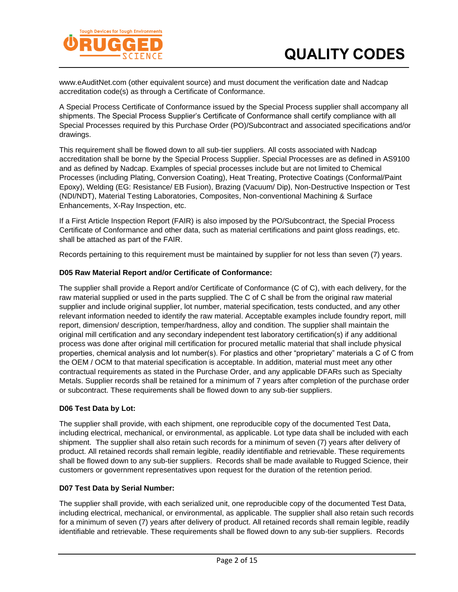

www.eAuditNet.com (other equivalent source) and must document the verification date and Nadcap accreditation code(s) as through a Certificate of Conformance.

A Special Process Certificate of Conformance issued by the Special Process supplier shall accompany all shipments. The Special Process Supplier's Certificate of Conformance shall certify compliance with all Special Processes required by this Purchase Order (PO)/Subcontract and associated specifications and/or drawings.

This requirement shall be flowed down to all sub-tier suppliers. All costs associated with Nadcap accreditation shall be borne by the Special Process Supplier. Special Processes are as defined in AS9100 and as defined by Nadcap. Examples of special processes include but are not limited to Chemical Processes (including Plating, Conversion Coating), Heat Treating, Protective Coatings (Conformal/Paint Epoxy), Welding (EG: Resistance/ EB Fusion), Brazing (Vacuum/ Dip), Non-Destructive Inspection or Test (NDI/NDT), Material Testing Laboratories, Composites, Non-conventional Machining & Surface Enhancements, X-Ray Inspection, etc.

If a First Article Inspection Report (FAIR) is also imposed by the PO/Subcontract, the Special Process Certificate of Conformance and other data, such as material certifications and paint gloss readings, etc. shall be attached as part of the FAIR.

Records pertaining to this requirement must be maintained by supplier for not less than seven (7) years.

#### **D05 Raw Material Report and/or Certificate of Conformance:**

The supplier shall provide a Report and/or Certificate of Conformance (C of C), with each delivery, for the raw material supplied or used in the parts supplied. The C of C shall be from the original raw material supplier and include original supplier, lot number, material specification, tests conducted, and any other relevant information needed to identify the raw material. Acceptable examples include foundry report, mill report, dimension/ description, temper/hardness, alloy and condition. The supplier shall maintain the original mill certification and any secondary independent test laboratory certification(s) if any additional process was done after original mill certification for procured metallic material that shall include physical properties, chemical analysis and lot number(s). For plastics and other "proprietary" materials a C of C from the OEM / OCM to that material specification is acceptable. In addition, material must meet any other contractual requirements as stated in the Purchase Order, and any applicable DFARs such as Specialty Metals. Supplier records shall be retained for a minimum of 7 years after completion of the purchase order or subcontract. These requirements shall be flowed down to any sub-tier suppliers.

#### **D06 Test Data by Lot:**

The supplier shall provide, with each shipment, one reproducible copy of the documented Test Data, including electrical, mechanical, or environmental, as applicable. Lot type data shall be included with each shipment. The supplier shall also retain such records for a minimum of seven (7) years after delivery of product. All retained records shall remain legible, readily identifiable and retrievable. These requirements shall be flowed down to any sub-tier suppliers. Records shall be made available to Rugged Science, their customers or government representatives upon request for the duration of the retention period.

#### **D07 Test Data by Serial Number:**

The supplier shall provide, with each serialized unit, one reproducible copy of the documented Test Data, including electrical, mechanical, or environmental, as applicable. The supplier shall also retain such records for a minimum of seven (7) years after delivery of product. All retained records shall remain legible, readily identifiable and retrievable. These requirements shall be flowed down to any sub-tier suppliers. Records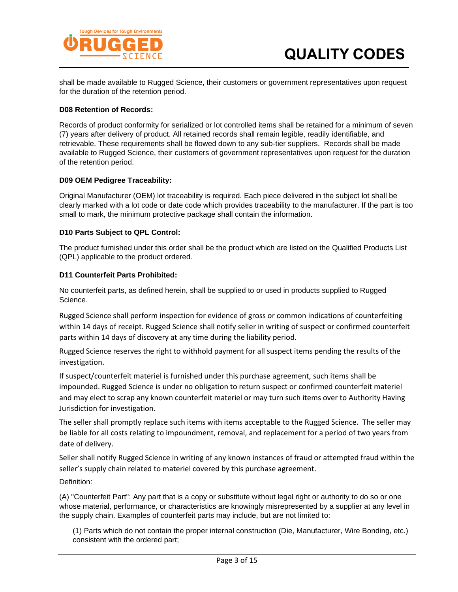

shall be made available to Rugged Science, their customers or government representatives upon request for the duration of the retention period.

#### **D08 Retention of Records:**

Records of product conformity for serialized or lot controlled items shall be retained for a minimum of seven (7) years after delivery of product. All retained records shall remain legible, readily identifiable, and retrievable. These requirements shall be flowed down to any sub-tier suppliers. Records shall be made available to Rugged Science, their customers of government representatives upon request for the duration of the retention period.

#### **D09 OEM Pedigree Traceability:**

Original Manufacturer (OEM) lot traceability is required. Each piece delivered in the subject lot shall be clearly marked with a lot code or date code which provides traceability to the manufacturer. If the part is too small to mark, the minimum protective package shall contain the information.

#### **D10 Parts Subject to QPL Control:**

The product furnished under this order shall be the product which are listed on the Qualified Products List (QPL) applicable to the product ordered.

#### **D11 Counterfeit Parts Prohibited:**

No counterfeit parts, as defined herein, shall be supplied to or used in products supplied to Rugged Science.

Rugged Science shall perform inspection for evidence of gross or common indications of counterfeiting within 14 days of receipt. Rugged Science shall notify seller in writing of suspect or confirmed counterfeit parts within 14 days of discovery at any time during the liability period.

Rugged Science reserves the right to withhold payment for all suspect items pending the results of the investigation.

If suspect/counterfeit materiel is furnished under this purchase agreement, such items shall be impounded. Rugged Science is under no obligation to return suspect or confirmed counterfeit materiel and may elect to scrap any known counterfeit materiel or may turn such items over to Authority Having Jurisdiction for investigation.

The seller shall promptly replace such items with items acceptable to the Rugged Science. The seller may be liable for all costs relating to impoundment, removal, and replacement for a period of two years from date of delivery.

Seller shall notify Rugged Science in writing of any known instances of fraud or attempted fraud within the seller's supply chain related to materiel covered by this purchase agreement.

Definition:

(A) "Counterfeit Part": Any part that is a copy or substitute without legal right or authority to do so or one whose material, performance, or characteristics are knowingly misrepresented by a supplier at any level in the supply chain. Examples of counterfeit parts may include, but are not limited to:

(1) Parts which do not contain the proper internal construction (Die, Manufacturer, Wire Bonding, etc.) consistent with the ordered part;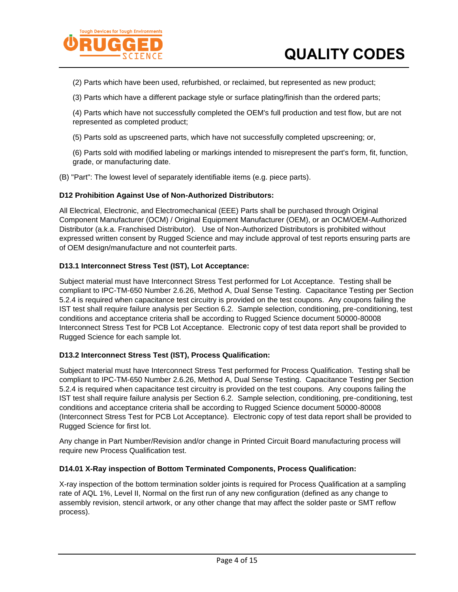

(2) Parts which have been used, refurbished, or reclaimed, but represented as new product;

(3) Parts which have a different package style or surface plating/finish than the ordered parts;

(4) Parts which have not successfully completed the OEM's full production and test flow, but are not represented as completed product;

(5) Parts sold as upscreened parts, which have not successfully completed upscreening; or,

(6) Parts sold with modified labeling or markings intended to misrepresent the part's form, fit, function, grade, or manufacturing date.

(B) "Part": The lowest level of separately identifiable items (e.g. piece parts).

#### **D12 Prohibition Against Use of Non-Authorized Distributors:**

All Electrical, Electronic, and Electromechanical (EEE) Parts shall be purchased through Original Component Manufacturer (OCM) / Original Equipment Manufacturer (OEM), or an OCM/OEM-Authorized Distributor (a.k.a. Franchised Distributor). Use of Non-Authorized Distributors is prohibited without expressed written consent by Rugged Science and may include approval of test reports ensuring parts are of OEM design/manufacture and not counterfeit parts.

#### **D13.1 Interconnect Stress Test (IST), Lot Acceptance:**

Subject material must have Interconnect Stress Test performed for Lot Acceptance. Testing shall be compliant to IPC-TM-650 Number 2.6.26, Method A, Dual Sense Testing. Capacitance Testing per Section 5.2.4 is required when capacitance test circuitry is provided on the test coupons. Any coupons failing the IST test shall require failure analysis per Section 6.2. Sample selection, conditioning, pre-conditioning, test conditions and acceptance criteria shall be according to Rugged Science document 50000-80008 Interconnect Stress Test for PCB Lot Acceptance. Electronic copy of test data report shall be provided to Rugged Science for each sample lot.

#### **D13.2 Interconnect Stress Test (IST), Process Qualification:**

Subject material must have Interconnect Stress Test performed for Process Qualification. Testing shall be compliant to IPC-TM-650 Number 2.6.26, Method A, Dual Sense Testing. Capacitance Testing per Section 5.2.4 is required when capacitance test circuitry is provided on the test coupons. Any coupons failing the IST test shall require failure analysis per Section 6.2. Sample selection, conditioning, pre-conditioning, test conditions and acceptance criteria shall be according to Rugged Science document 50000-80008 (Interconnect Stress Test for PCB Lot Acceptance). Electronic copy of test data report shall be provided to Rugged Science for first lot.

Any change in Part Number/Revision and/or change in Printed Circuit Board manufacturing process will require new Process Qualification test.

#### **D14.01 X-Ray inspection of Bottom Terminated Components, Process Qualification:**

X-ray inspection of the bottom termination solder joints is required for Process Qualification at a sampling rate of AQL 1%, Level II, Normal on the first run of any new configuration (defined as any change to assembly revision, stencil artwork, or any other change that may affect the solder paste or SMT reflow process).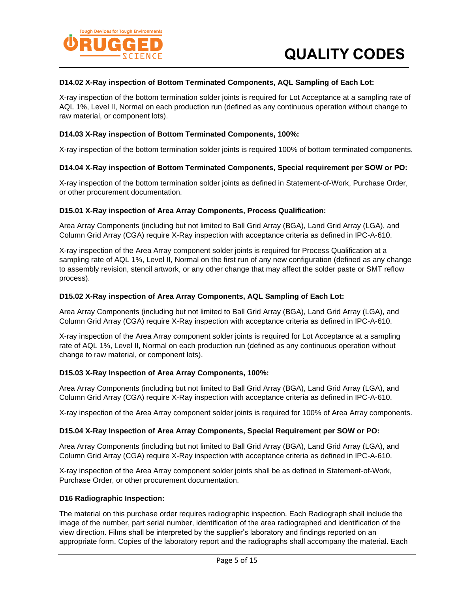

#### **D14.02 X-Ray inspection of Bottom Terminated Components, AQL Sampling of Each Lot:**

X-ray inspection of the bottom termination solder joints is required for Lot Acceptance at a sampling rate of AQL 1%, Level II, Normal on each production run (defined as any continuous operation without change to raw material, or component lots).

#### **D14.03 X-Ray inspection of Bottom Terminated Components, 100%:**

X-ray inspection of the bottom termination solder joints is required 100% of bottom terminated components.

#### **D14.04 X-Ray inspection of Bottom Terminated Components, Special requirement per SOW or PO:**

X-ray inspection of the bottom termination solder joints as defined in Statement-of-Work, Purchase Order, or other procurement documentation.

#### **D15.01 X-Ray inspection of Area Array Components, Process Qualification:**

Area Array Components (including but not limited to Ball Grid Array (BGA), Land Grid Array (LGA), and Column Grid Array (CGA) require X-Ray inspection with acceptance criteria as defined in IPC-A-610.

X-ray inspection of the Area Array component solder joints is required for Process Qualification at a sampling rate of AQL 1%, Level II, Normal on the first run of any new configuration (defined as any change to assembly revision, stencil artwork, or any other change that may affect the solder paste or SMT reflow process).

#### **D15.02 X-Ray inspection of Area Array Components, AQL Sampling of Each Lot:**

Area Array Components (including but not limited to Ball Grid Array (BGA), Land Grid Array (LGA), and Column Grid Array (CGA) require X-Ray inspection with acceptance criteria as defined in IPC-A-610.

X-ray inspection of the Area Array component solder joints is required for Lot Acceptance at a sampling rate of AQL 1%, Level II, Normal on each production run (defined as any continuous operation without change to raw material, or component lots).

#### **D15.03 X-Ray Inspection of Area Array Components, 100%:**

Area Array Components (including but not limited to Ball Grid Array (BGA), Land Grid Array (LGA), and Column Grid Array (CGA) require X-Ray inspection with acceptance criteria as defined in IPC-A-610.

X-ray inspection of the Area Array component solder joints is required for 100% of Area Array components.

#### **D15.04 X-Ray Inspection of Area Array Components, Special Requirement per SOW or PO:**

Area Array Components (including but not limited to Ball Grid Array (BGA), Land Grid Array (LGA), and Column Grid Array (CGA) require X-Ray inspection with acceptance criteria as defined in IPC-A-610.

X-ray inspection of the Area Array component solder joints shall be as defined in Statement-of-Work, Purchase Order, or other procurement documentation.

#### **D16 Radiographic Inspection:**

The material on this purchase order requires radiographic inspection. Each Radiograph shall include the image of the number, part serial number, identification of the area radiographed and identification of the view direction. Films shall be interpreted by the supplier's laboratory and findings reported on an appropriate form. Copies of the laboratory report and the radiographs shall accompany the material. Each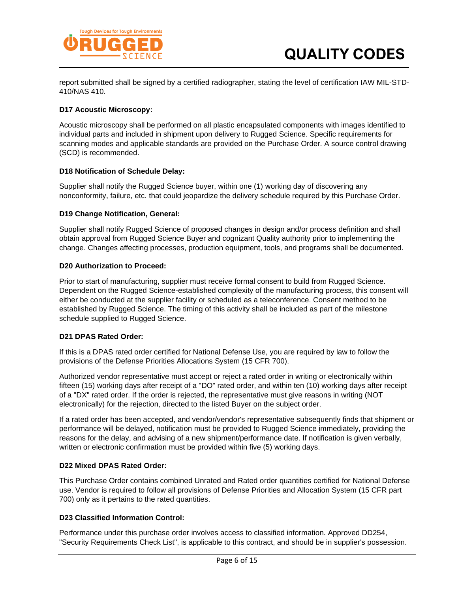

report submitted shall be signed by a certified radiographer, stating the level of certification IAW MIL-STD-410/NAS 410.

#### **D17 Acoustic Microscopy:**

Acoustic microscopy shall be performed on all plastic encapsulated components with images identified to individual parts and included in shipment upon delivery to Rugged Science. Specific requirements for scanning modes and applicable standards are provided on the Purchase Order. A source control drawing (SCD) is recommended.

#### **D18 Notification of Schedule Delay:**

Supplier shall notify the Rugged Science buyer, within one (1) working day of discovering any nonconformity, failure, etc. that could jeopardize the delivery schedule required by this Purchase Order.

#### **D19 Change Notification, General:**

Supplier shall notify Rugged Science of proposed changes in design and/or process definition and shall obtain approval from Rugged Science Buyer and cognizant Quality authority prior to implementing the change. Changes affecting processes, production equipment, tools, and programs shall be documented.

#### **D20 Authorization to Proceed:**

Prior to start of manufacturing, supplier must receive formal consent to build from Rugged Science. Dependent on the Rugged Science-established complexity of the manufacturing process, this consent will either be conducted at the supplier facility or scheduled as a teleconference. Consent method to be established by Rugged Science. The timing of this activity shall be included as part of the milestone schedule supplied to Rugged Science.

#### **D21 DPAS Rated Order:**

If this is a DPAS rated order certified for National Defense Use, you are required by law to follow the provisions of the Defense Priorities Allocations System (15 CFR 700).

Authorized vendor representative must accept or reject a rated order in writing or electronically within fifteen (15) working days after receipt of a "DO" rated order, and within ten (10) working days after receipt of a "DX" rated order. If the order is rejected, the representative must give reasons in writing (NOT electronically) for the rejection, directed to the listed Buyer on the subject order.

If a rated order has been accepted, and vendor/vendor's representative subsequently finds that shipment or performance will be delayed, notification must be provided to Rugged Science immediately, providing the reasons for the delay, and advising of a new shipment/performance date. If notification is given verbally, written or electronic confirmation must be provided within five (5) working days.

#### **D22 Mixed DPAS Rated Order:**

This Purchase Order contains combined Unrated and Rated order quantities certified for National Defense use. Vendor is required to follow all provisions of Defense Priorities and Allocation System (15 CFR part 700) only as it pertains to the rated quantities.

#### **D23 Classified Information Control:**

Performance under this purchase order involves access to classified information. Approved DD254, "Security Requirements Check List", is applicable to this contract, and should be in supplier's possession.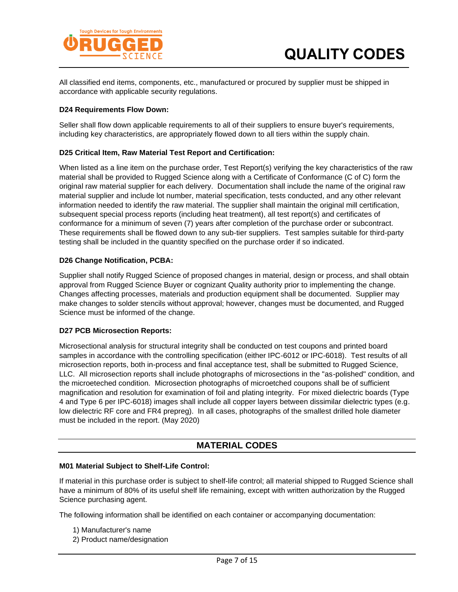

All classified end items, components, etc., manufactured or procured by supplier must be shipped in accordance with applicable security regulations.

#### **D24 Requirements Flow Down:**

Seller shall flow down applicable requirements to all of their suppliers to ensure buyer's requirements, including key characteristics, are appropriately flowed down to all tiers within the supply chain.

#### **D25 Critical Item, Raw Material Test Report and Certification:**

When listed as a line item on the purchase order, Test Report(s) verifying the key characteristics of the raw material shall be provided to Rugged Science along with a Certificate of Conformance (C of C) form the original raw material supplier for each delivery. Documentation shall include the name of the original raw material supplier and include lot number, material specification, tests conducted, and any other relevant information needed to identify the raw material. The supplier shall maintain the original mill certification, subsequent special process reports (including heat treatment), all test report(s) and certificates of conformance for a minimum of seven (7) years after completion of the purchase order or subcontract. These requirements shall be flowed down to any sub-tier suppliers. Test samples suitable for third-party testing shall be included in the quantity specified on the purchase order if so indicated.

#### **D26 Change Notification, PCBA:**

Supplier shall notify Rugged Science of proposed changes in material, design or process, and shall obtain approval from Rugged Science Buyer or cognizant Quality authority prior to implementing the change. Changes affecting processes, materials and production equipment shall be documented. Supplier may make changes to solder stencils without approval; however, changes must be documented, and Rugged Science must be informed of the change.

#### **D27 PCB Microsection Reports:**

Microsectional analysis for structural integrity shall be conducted on test coupons and printed board samples in accordance with the controlling specification (either IPC-6012 or IPC-6018). Test results of all microsection reports, both in-process and final acceptance test, shall be submitted to Rugged Science, LLC. All microsection reports shall include photographs of microsections in the "as-polished" condition, and the microeteched condition. Microsection photographs of microetched coupons shall be of sufficient magnification and resolution for examination of foil and plating integrity. For mixed dielectric boards (Type 4 and Type 6 per IPC-6018) images shall include all copper layers between dissimilar dielectric types (e.g. low dielectric RF core and FR4 prepreg). In all cases, photographs of the smallest drilled hole diameter must be included in the report. (May 2020)

### **MATERIAL CODES**

#### **M01 Material Subject to Shelf-Life Control:**

If material in this purchase order is subject to shelf-life control; all material shipped to Rugged Science shall have a minimum of 80% of its useful shelf life remaining, except with written authorization by the Rugged Science purchasing agent.

The following information shall be identified on each container or accompanying documentation:

- 1) Manufacturer's name
- 2) Product name/designation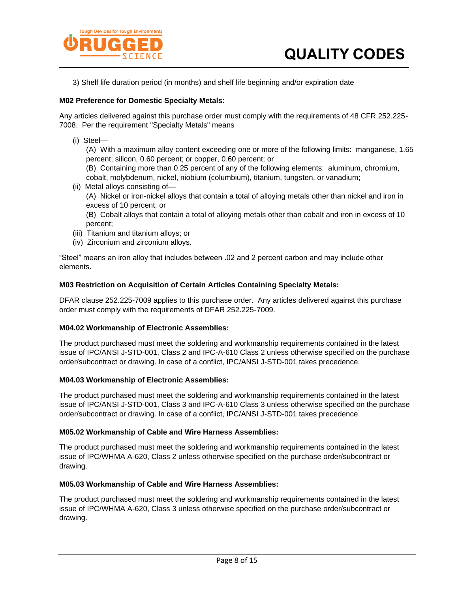

3) Shelf life duration period (in months) and shelf life beginning and/or expiration date

#### **M02 Preference for Domestic Specialty Metals:**

Any articles delivered against this purchase order must comply with the requirements of 48 CFR 252.225- 7008. Per the requirement "Specialty Metals" means

(i) Steel—

(A) With a maximum alloy content exceeding one or more of the following limits: manganese, 1.65 percent; silicon, 0.60 percent; or copper, 0.60 percent; or

(B) Containing more than 0.25 percent of any of the following elements: aluminum, chromium, cobalt, molybdenum, nickel, niobium (columbium), titanium, tungsten, or vanadium;

(ii) Metal alloys consisting of— (A) Nickel or iron-nickel alloys that contain a total of alloying metals other than nickel and iron in excess of 10 percent; or (B) Cobalt alloys that contain a total of alloying metals other than cobalt and iron in excess of 10

percent;

- (iii) Titanium and titanium alloys; or
- (iv) Zirconium and zirconium alloys.

"Steel" means an iron alloy that includes between .02 and 2 percent carbon and may include other elements.

#### **M03 Restriction on Acquisition of Certain Articles Containing Specialty Metals:**

DFAR clause 252.225-7009 applies to this purchase order. Any articles delivered against this purchase order must comply with the requirements of DFAR 252.225-7009.

#### **M04.02 Workmanship of Electronic Assemblies:**

The product purchased must meet the soldering and workmanship requirements contained in the latest issue of IPC/ANSI J-STD-001, Class 2 and IPC-A-610 Class 2 unless otherwise specified on the purchase order/subcontract or drawing. In case of a conflict, IPC/ANSI J-STD-001 takes precedence.

#### **M04.03 Workmanship of Electronic Assemblies:**

The product purchased must meet the soldering and workmanship requirements contained in the latest issue of IPC/ANSI J-STD-001, Class 3 and IPC-A-610 Class 3 unless otherwise specified on the purchase order/subcontract or drawing. In case of a conflict, IPC/ANSI J-STD-001 takes precedence.

#### **M05.02 Workmanship of Cable and Wire Harness Assemblies:**

The product purchased must meet the soldering and workmanship requirements contained in the latest issue of IPC/WHMA A-620, Class 2 unless otherwise specified on the purchase order/subcontract or drawing.

#### **M05.03 Workmanship of Cable and Wire Harness Assemblies:**

The product purchased must meet the soldering and workmanship requirements contained in the latest issue of IPC/WHMA A-620, Class 3 unless otherwise specified on the purchase order/subcontract or drawing.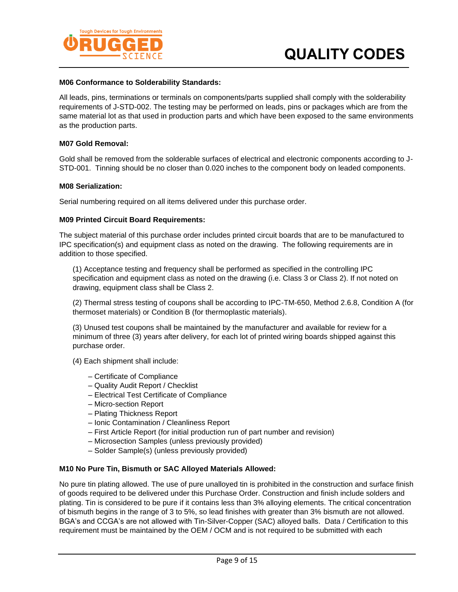

#### **M06 Conformance to Solderability Standards:**

All leads, pins, terminations or terminals on components/parts supplied shall comply with the solderability requirements of J-STD-002. The testing may be performed on leads, pins or packages which are from the same material lot as that used in production parts and which have been exposed to the same environments as the production parts.

#### **M07 Gold Removal:**

Gold shall be removed from the solderable surfaces of electrical and electronic components according to J-STD-001. Tinning should be no closer than 0.020 inches to the component body on leaded components.

#### **M08 Serialization:**

Serial numbering required on all items delivered under this purchase order.

#### **M09 Printed Circuit Board Requirements:**

The subject material of this purchase order includes printed circuit boards that are to be manufactured to IPC specification(s) and equipment class as noted on the drawing. The following requirements are in addition to those specified.

(1) Acceptance testing and frequency shall be performed as specified in the controlling IPC specification and equipment class as noted on the drawing (i.e. Class 3 or Class 2). If not noted on drawing, equipment class shall be Class 2.

(2) Thermal stress testing of coupons shall be according to IPC-TM-650, Method 2.6.8, Condition A (for thermoset materials) or Condition B (for thermoplastic materials).

(3) Unused test coupons shall be maintained by the manufacturer and available for review for a minimum of three (3) years after delivery, for each lot of printed wiring boards shipped against this purchase order.

(4) Each shipment shall include:

- Certificate of Compliance
- Quality Audit Report / Checklist
- Electrical Test Certificate of Compliance
- Micro-section Report
- Plating Thickness Report
- Ionic Contamination / Cleanliness Report
- First Article Report (for initial production run of part number and revision)
- Microsection Samples (unless previously provided)
- Solder Sample(s) (unless previously provided)

#### **M10 No Pure Tin, Bismuth or SAC Alloyed Materials Allowed:**

No pure tin plating allowed. The use of pure unalloyed tin is prohibited in the construction and surface finish of goods required to be delivered under this Purchase Order. Construction and finish include solders and plating. Tin is considered to be pure if it contains less than 3% alloying elements. The critical concentration of bismuth begins in the range of 3 to 5%, so lead finishes with greater than 3% bismuth are not allowed. BGA's and CCGA's are not allowed with Tin-Silver-Copper (SAC) alloyed balls. Data / Certification to this requirement must be maintained by the OEM / OCM and is not required to be submitted with each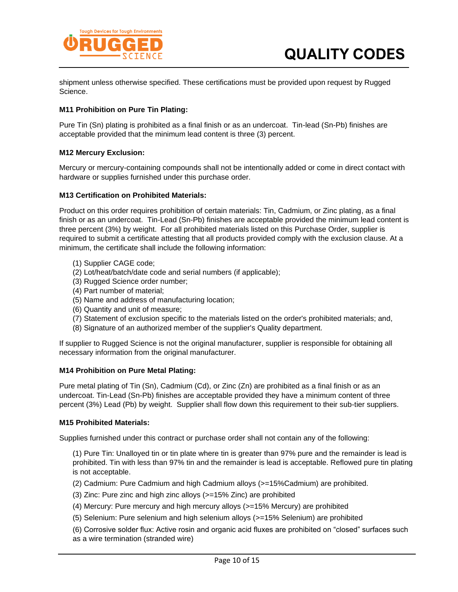

shipment unless otherwise specified. These certifications must be provided upon request by Rugged Science.

#### **M11 Prohibition on Pure Tin Plating:**

Pure Tin (Sn) plating is prohibited as a final finish or as an undercoat. Tin-lead (Sn-Pb) finishes are acceptable provided that the minimum lead content is three (3) percent.

#### **M12 Mercury Exclusion:**

Mercury or mercury-containing compounds shall not be intentionally added or come in direct contact with hardware or supplies furnished under this purchase order.

#### **M13 Certification on Prohibited Materials:**

Product on this order requires prohibition of certain materials: Tin, Cadmium, or Zinc plating, as a final finish or as an undercoat. Tin-Lead (Sn-Pb) finishes are acceptable provided the minimum lead content is three percent (3%) by weight. For all prohibited materials listed on this Purchase Order, supplier is required to submit a certificate attesting that all products provided comply with the exclusion clause. At a minimum, the certificate shall include the following information:

- (1) Supplier CAGE code;
- (2) Lot/heat/batch/date code and serial numbers (if applicable);
- (3) Rugged Science order number;
- (4) Part number of material;
- (5) Name and address of manufacturing location;
- (6) Quantity and unit of measure;
- (7) Statement of exclusion specific to the materials listed on the order's prohibited materials; and,
- (8) Signature of an authorized member of the supplier's Quality department.

If supplier to Rugged Science is not the original manufacturer, supplier is responsible for obtaining all necessary information from the original manufacturer.

#### **M14 Prohibition on Pure Metal Plating:**

Pure metal plating of Tin (Sn), Cadmium (Cd), or Zinc (Zn) are prohibited as a final finish or as an undercoat. Tin-Lead (Sn-Pb) finishes are acceptable provided they have a minimum content of three percent (3%) Lead (Pb) by weight. Supplier shall flow down this requirement to their sub-tier suppliers.

#### **M15 Prohibited Materials:**

Supplies furnished under this contract or purchase order shall not contain any of the following:

(1) Pure Tin: Unalloyed tin or tin plate where tin is greater than 97% pure and the remainder is lead is prohibited. Tin with less than 97% tin and the remainder is lead is acceptable. Reflowed pure tin plating is not acceptable.

(2) Cadmium: Pure Cadmium and high Cadmium alloys (>=15%Cadmium) are prohibited.

(3) Zinc: Pure zinc and high zinc alloys (>=15% Zinc) are prohibited

(4) Mercury: Pure mercury and high mercury alloys (>=15% Mercury) are prohibited

(5) Selenium: Pure selenium and high selenium alloys (>=15% Selenium) are prohibited

(6) Corrosive solder flux: Active rosin and organic acid fluxes are prohibited on "closed" surfaces such as a wire termination (stranded wire)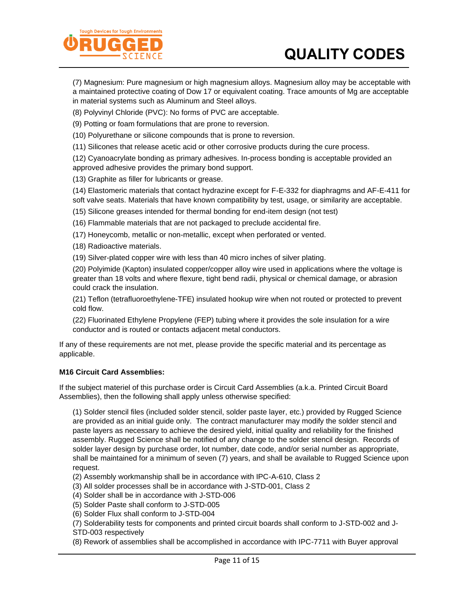# **QUALITY CODES**



(7) Magnesium: Pure magnesium or high magnesium alloys. Magnesium alloy may be acceptable with a maintained protective coating of Dow 17 or equivalent coating. Trace amounts of Mg are acceptable in material systems such as Aluminum and Steel alloys.

(8) Polyvinyl Chloride (PVC): No forms of PVC are acceptable.

(9) Potting or foam formulations that are prone to reversion.

(10) Polyurethane or silicone compounds that is prone to reversion.

(11) Silicones that release acetic acid or other corrosive products during the cure process.

(12) Cyanoacrylate bonding as primary adhesives. In-process bonding is acceptable provided an approved adhesive provides the primary bond support.

(13) Graphite as filler for lubricants or grease.

(14) Elastomeric materials that contact hydrazine except for F-E-332 for diaphragms and AF-E-411 for soft valve seats. Materials that have known compatibility by test, usage, or similarity are acceptable.

(15) Silicone greases intended for thermal bonding for end-item design (not test)

(16) Flammable materials that are not packaged to preclude accidental fire.

(17) Honeycomb, metallic or non-metallic, except when perforated or vented.

(18) Radioactive materials.

(19) Silver-plated copper wire with less than 40 micro inches of silver plating.

(20) Polyimide (Kapton) insulated copper/copper alloy wire used in applications where the voltage is greater than 18 volts and where flexure, tight bend radii, physical or chemical damage, or abrasion could crack the insulation.

(21) Teflon (tetrafluoroethylene-TFE) insulated hookup wire when not routed or protected to prevent cold flow.

(22) Fluorinated Ethylene Propylene (FEP) tubing where it provides the sole insulation for a wire conductor and is routed or contacts adjacent metal conductors.

If any of these requirements are not met, please provide the specific material and its percentage as applicable.

#### **M16 Circuit Card Assemblies:**

If the subject materiel of this purchase order is Circuit Card Assemblies (a.k.a. Printed Circuit Board Assemblies), then the following shall apply unless otherwise specified:

(1) Solder stencil files (included solder stencil, solder paste layer, etc.) provided by Rugged Science are provided as an initial guide only. The contract manufacturer may modify the solder stencil and paste layers as necessary to achieve the desired yield, initial quality and reliability for the finished assembly. Rugged Science shall be notified of any change to the solder stencil design. Records of solder layer design by purchase order, lot number, date code, and/or serial number as appropriate, shall be maintained for a minimum of seven (7) years, and shall be available to Rugged Science upon request.

(2) Assembly workmanship shall be in accordance with IPC-A-610, Class 2

- (3) All solder processes shall be in accordance with J-STD-001, Class 2
- (4) Solder shall be in accordance with J-STD-006
- (5) Solder Paste shall conform to J-STD-005
- (6) Solder Flux shall conform to J-STD-004

(7) Solderability tests for components and printed circuit boards shall conform to J-STD-002 and J-STD-003 respectively

(8) Rework of assemblies shall be accomplished in accordance with IPC-7711 with Buyer approval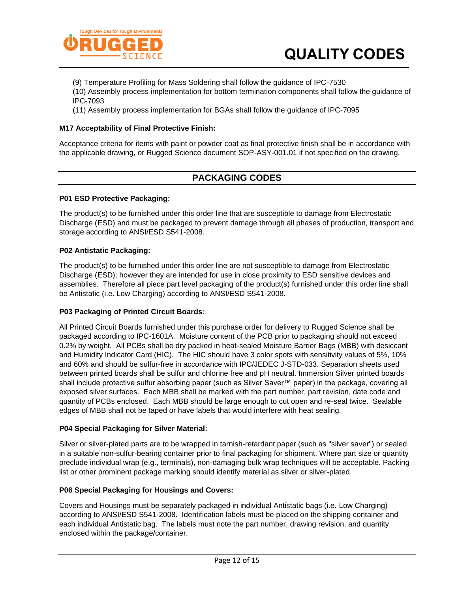

- (9) Temperature Profiling for Mass Soldering shall follow the guidance of IPC-7530
- (10) Assembly process implementation for bottom termination components shall follow the guidance of IPC-7093
- (11) Assembly process implementation for BGAs shall follow the guidance of IPC-7095

#### **M17 Acceptability of Final Protective Finish:**

Acceptance criteria for items with paint or powder coat as final protective finish shall be in accordance with the applicable drawing, or Rugged Science document SOP-ASY-001.01 if not specified on the drawing.

# **PACKAGING CODES**

#### **P01 ESD Protective Packaging:**

The product(s) to be furnished under this order line that are susceptible to damage from Electrostatic Discharge (ESD) and must be packaged to prevent damage through all phases of production, transport and storage according to ANSI/ESD S541-2008.

#### **P02 Antistatic Packaging:**

The product(s) to be furnished under this order line are not susceptible to damage from Electrostatic Discharge (ESD); however they are intended for use in close proximity to ESD sensitive devices and assemblies. Therefore all piece part level packaging of the product(s) furnished under this order line shall be Antistatic (i.e. Low Charging) according to ANSI/ESD S541-2008.

#### **P03 Packaging of Printed Circuit Boards:**

All Printed Circuit Boards furnished under this purchase order for delivery to Rugged Science shall be packaged according to IPC-1601A. Moisture content of the PCB prior to packaging should not exceed 0.2% by weight. All PCBs shall be dry packed in heat-sealed Moisture Barrier Bags (MBB) with desiccant and Humidity Indicator Card (HIC). The HIC should have 3 color spots with sensitivity values of 5%, 10% and 60% and should be sulfur-free in accordance with IPC/JEDEC J-STD-033. Separation sheets used between printed boards shall be sulfur and chlorine free and pH neutral. Immersion Silver printed boards shall include protective sulfur absorbing paper (such as Silver Saver™ paper) in the package, covering all exposed silver surfaces. Each MBB shall be marked with the part number, part revision, date code and quantity of PCBs enclosed. Each MBB should be large enough to cut open and re-seal twice. Sealable edges of MBB shall not be taped or have labels that would interfere with heat sealing.

#### **P04 Special Packaging for Silver Material:**

Silver or silver-plated parts are to be wrapped in tarnish-retardant paper (such as "silver saver") or sealed in a suitable non-sulfur-bearing container prior to final packaging for shipment. Where part size or quantity preclude individual wrap (e.g., terminals), non-damaging bulk wrap techniques will be acceptable. Packing list or other prominent package marking should identify material as silver or silver-plated.

#### **P06 Special Packaging for Housings and Covers:**

Covers and Housings must be separately packaged in individual Antistatic bags (i.e. Low Charging) according to ANSI/ESD S541-2008. Identification labels must be placed on the shipping container and each individual Antistatic bag. The labels must note the part number, drawing revision, and quantity enclosed within the package/container.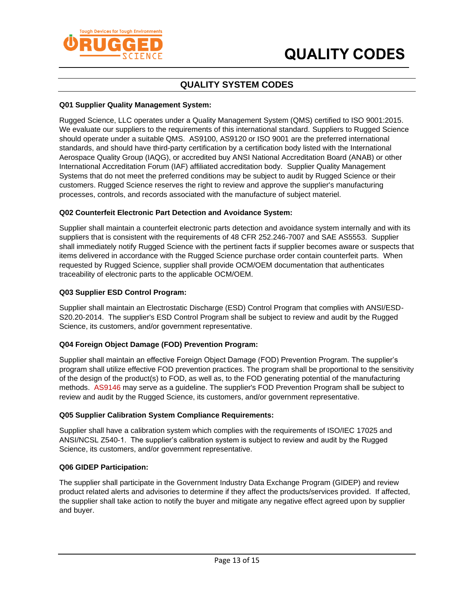



# **QUALITY SYSTEM CODES**

#### **Q01 Supplier Quality Management System:**

Rugged Science, LLC operates under a Quality Management System (QMS) certified to ISO 9001:2015. We evaluate our suppliers to the requirements of this international standard. Suppliers to Rugged Science should operate under a suitable QMS. AS9100, AS9120 or ISO 9001 are the preferred international standards, and should have third-party certification by a certification body listed with the International Aerospace Quality Group (IAQG), or accredited buy ANSI National Accreditation Board (ANAB) or other International Accreditation Forum (IAF) affiliated accreditation body. Supplier Quality Management Systems that do not meet the preferred conditions may be subject to audit by Rugged Science or their customers. Rugged Science reserves the right to review and approve the supplier's manufacturing processes, controls, and records associated with the manufacture of subject materiel.

#### **Q02 Counterfeit Electronic Part Detection and Avoidance System:**

Supplier shall maintain a counterfeit electronic parts detection and avoidance system internally and with its suppliers that is consistent with the requirements of 48 CFR 252.246-7007 and SAE AS5553. Supplier shall immediately notify Rugged Science with the pertinent facts if supplier becomes aware or suspects that items delivered in accordance with the Rugged Science purchase order contain counterfeit parts. When requested by Rugged Science, supplier shall provide OCM/OEM documentation that authenticates traceability of electronic parts to the applicable OCM/OEM.

#### **Q03 Supplier ESD Control Program:**

Supplier shall maintain an Electrostatic Discharge (ESD) Control Program that complies with ANSI/ESD-S20.20-2014. The supplier's ESD Control Program shall be subject to review and audit by the Rugged Science, its customers, and/or government representative.

#### **Q04 Foreign Object Damage (FOD) Prevention Program:**

Supplier shall maintain an effective Foreign Object Damage (FOD) Prevention Program. The supplier's program shall utilize effective FOD prevention practices. The program shall be proportional to the sensitivity of the design of the product(s) to FOD, as well as, to the FOD generating potential of the manufacturing methods. AS9146 may serve as a guideline. The supplier's FOD Prevention Program shall be subject to review and audit by the Rugged Science, its customers, and/or government representative.

#### **Q05 Supplier Calibration System Compliance Requirements:**

Supplier shall have a calibration system which complies with the requirements of ISO/IEC 17025 and ANSI/NCSL Z540-1. The supplier's calibration system is subject to review and audit by the Rugged Science, its customers, and/or government representative.

#### **Q06 GIDEP Participation:**

The supplier shall participate in the Government Industry Data Exchange Program (GIDEP) and review product related alerts and advisories to determine if they affect the products/services provided. If affected, the supplier shall take action to notify the buyer and mitigate any negative effect agreed upon by supplier and buyer.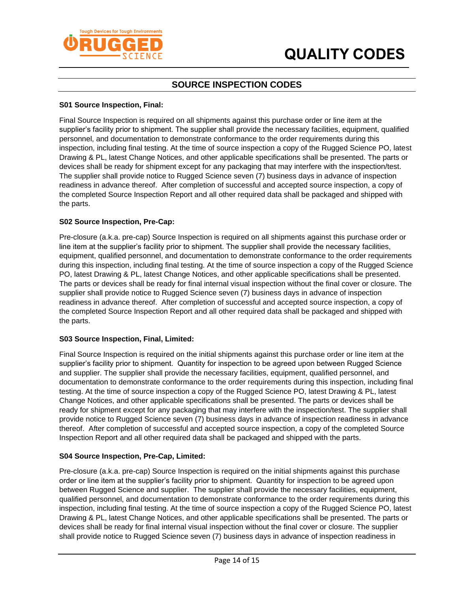

# **SOURCE INSPECTION CODES**

#### **S01 Source Inspection, Final:**

Final Source Inspection is required on all shipments against this purchase order or line item at the supplier's facility prior to shipment. The supplier shall provide the necessary facilities, equipment, qualified personnel, and documentation to demonstrate conformance to the order requirements during this inspection, including final testing. At the time of source inspection a copy of the Rugged Science PO, latest Drawing & PL, latest Change Notices, and other applicable specifications shall be presented. The parts or devices shall be ready for shipment except for any packaging that may interfere with the inspection/test. The supplier shall provide notice to Rugged Science seven (7) business days in advance of inspection readiness in advance thereof. After completion of successful and accepted source inspection, a copy of the completed Source Inspection Report and all other required data shall be packaged and shipped with the parts.

#### **S02 Source Inspection, Pre-Cap:**

Pre-closure (a.k.a. pre-cap) Source Inspection is required on all shipments against this purchase order or line item at the supplier's facility prior to shipment. The supplier shall provide the necessary facilities, equipment, qualified personnel, and documentation to demonstrate conformance to the order requirements during this inspection, including final testing. At the time of source inspection a copy of the Rugged Science PO, latest Drawing & PL, latest Change Notices, and other applicable specifications shall be presented. The parts or devices shall be ready for final internal visual inspection without the final cover or closure. The supplier shall provide notice to Rugged Science seven (7) business days in advance of inspection readiness in advance thereof. After completion of successful and accepted source inspection, a copy of the completed Source Inspection Report and all other required data shall be packaged and shipped with the parts.

#### **S03 Source Inspection, Final, Limited:**

Final Source Inspection is required on the initial shipments against this purchase order or line item at the supplier's facility prior to shipment. Quantity for inspection to be agreed upon between Rugged Science and supplier. The supplier shall provide the necessary facilities, equipment, qualified personnel, and documentation to demonstrate conformance to the order requirements during this inspection, including final testing. At the time of source inspection a copy of the Rugged Science PO, latest Drawing & PL, latest Change Notices, and other applicable specifications shall be presented. The parts or devices shall be ready for shipment except for any packaging that may interfere with the inspection/test. The supplier shall provide notice to Rugged Science seven (7) business days in advance of inspection readiness in advance thereof. After completion of successful and accepted source inspection, a copy of the completed Source Inspection Report and all other required data shall be packaged and shipped with the parts.

#### **S04 Source Inspection, Pre-Cap, Limited:**

Pre-closure (a.k.a. pre-cap) Source Inspection is required on the initial shipments against this purchase order or line item at the supplier's facility prior to shipment. Quantity for inspection to be agreed upon between Rugged Science and supplier. The supplier shall provide the necessary facilities, equipment, qualified personnel, and documentation to demonstrate conformance to the order requirements during this inspection, including final testing. At the time of source inspection a copy of the Rugged Science PO, latest Drawing & PL, latest Change Notices, and other applicable specifications shall be presented. The parts or devices shall be ready for final internal visual inspection without the final cover or closure. The supplier shall provide notice to Rugged Science seven (7) business days in advance of inspection readiness in